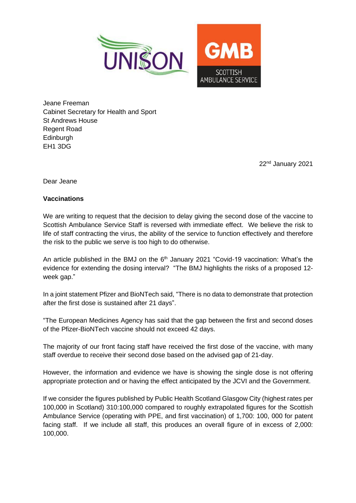

Jeane Freeman Cabinet Secretary for Health and Sport St Andrews House Regent Road Edinburgh EH1 3DG

22nd January 2021

Dear Jeane

## **Vaccinations**

We are writing to request that the decision to delay giving the second dose of the vaccine to Scottish Ambulance Service Staff is reversed with immediate effect. We believe the risk to life of staff contracting the virus, the ability of the service to function effectively and therefore the risk to the public we serve is too high to do otherwise.

An article published in the BMJ on the  $6<sup>th</sup>$  January 2021 "Covid-19 vaccination: What's the evidence for extending the dosing interval? "The BMJ highlights the risks of a proposed 12 week gap."

In a joint statement Pfizer and BioNTech said, "There is no data to demonstrate that protection after the first dose is sustained after 21 days".

"The European Medicines Agency has said that the gap between the first and second doses of the Pfizer-BioNTech vaccine should not exceed 42 days.

The majority of our front facing staff have received the first dose of the vaccine, with many staff overdue to receive their second dose based on the advised gap of 21-day.

However, the information and evidence we have is showing the single dose is not offering appropriate protection and or having the effect anticipated by the JCVI and the Government.

If we consider the figures published by Public Health Scotland Glasgow City (highest rates per 100,000 in Scotland) 310:100,000 compared to roughly extrapolated figures for the Scottish Ambulance Service (operating with PPE, and first vaccination) of 1,700: 100, 000 for patent facing staff. If we include all staff, this produces an overall figure of in excess of 2,000: 100,000.